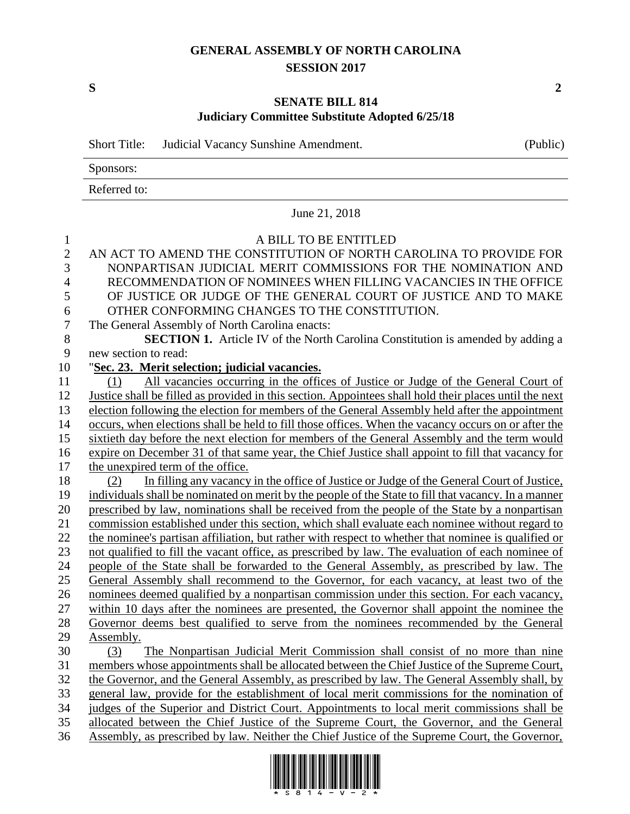## **GENERAL ASSEMBLY OF NORTH CAROLINA SESSION 2017**

**S 2**

## **SENATE BILL 814 Judiciary Committee Substitute Adopted 6/25/18**

|                | <b>Short Title:</b><br>Judicial Vacancy Sunshine Amendment.                                            | (Public) |  |  |  |
|----------------|--------------------------------------------------------------------------------------------------------|----------|--|--|--|
|                | Sponsors:                                                                                              |          |  |  |  |
|                | Referred to:                                                                                           |          |  |  |  |
|                | June 21, 2018                                                                                          |          |  |  |  |
| $\mathbf{1}$   | A BILL TO BE ENTITLED                                                                                  |          |  |  |  |
| $\overline{2}$ | AN ACT TO AMEND THE CONSTITUTION OF NORTH CAROLINA TO PROVIDE FOR                                      |          |  |  |  |
| 3              | NONPARTISAN JUDICIAL MERIT COMMISSIONS FOR THE NOMINATION AND                                          |          |  |  |  |
| $\overline{4}$ | RECOMMENDATION OF NOMINEES WHEN FILLING VACANCIES IN THE OFFICE                                        |          |  |  |  |
| 5              | OF JUSTICE OR JUDGE OF THE GENERAL COURT OF JUSTICE AND TO MAKE                                        |          |  |  |  |
| 6              | OTHER CONFORMING CHANGES TO THE CONSTITUTION.                                                          |          |  |  |  |
| $\tau$         | The General Assembly of North Carolina enacts:                                                         |          |  |  |  |
| $8\,$          | <b>SECTION 1.</b> Article IV of the North Carolina Constitution is amended by adding a                 |          |  |  |  |
| 9              | new section to read:                                                                                   |          |  |  |  |
| 10             | "Sec. 23. Merit selection; judicial vacancies.                                                         |          |  |  |  |
| 11             | All vacancies occurring in the offices of Justice or Judge of the General Court of<br>(1)              |          |  |  |  |
| 12             | Justice shall be filled as provided in this section. Appointees shall hold their places until the next |          |  |  |  |
| 13             | election following the election for members of the General Assembly held after the appointment         |          |  |  |  |
| 14             | occurs, when elections shall be held to fill those offices. When the vacancy occurs on or after the    |          |  |  |  |
| 15             | sixtieth day before the next election for members of the General Assembly and the term would           |          |  |  |  |
| 16             | expire on December 31 of that same year, the Chief Justice shall appoint to fill that vacancy for      |          |  |  |  |
| 17             | the unexpired term of the office.                                                                      |          |  |  |  |
| 18             | In filling any vacancy in the office of Justice or Judge of the General Court of Justice,<br>(2)       |          |  |  |  |
| 19             | individuals shall be nominated on merit by the people of the State to fill that vacancy. In a manner   |          |  |  |  |
| 20             | prescribed by law, nominations shall be received from the people of the State by a nonpartisan         |          |  |  |  |
| 21             | commission established under this section, which shall evaluate each nominee without regard to         |          |  |  |  |
| 22             | the nominee's partisan affiliation, but rather with respect to whether that nominee is qualified or    |          |  |  |  |
| 23             | not qualified to fill the vacant office, as prescribed by law. The evaluation of each nominee of       |          |  |  |  |
| 24             | people of the State shall be forwarded to the General Assembly, as prescribed by law. The              |          |  |  |  |
| 25             | General Assembly shall recommend to the Governor, for each vacancy, at least two of the                |          |  |  |  |
| 26             | nominees deemed qualified by a nonpartisan commission under this section. For each vacancy,            |          |  |  |  |
| 27<br>28       | within 10 days after the nominees are presented, the Governor shall appoint the nominee the            |          |  |  |  |
| 29             | Governor deems best qualified to serve from the nominees recommended by the General<br>Assembly.       |          |  |  |  |
| 30             | The Nonpartisan Judicial Merit Commission shall consist of no more than nine<br>(3)                    |          |  |  |  |
| 31             | members whose appointments shall be allocated between the Chief Justice of the Supreme Court,          |          |  |  |  |
| 32             | the Governor, and the General Assembly, as prescribed by law. The General Assembly shall, by           |          |  |  |  |
| 33             | general law, provide for the establishment of local merit commissions for the nomination of            |          |  |  |  |
| 34             | judges of the Superior and District Court. Appointments to local merit commissions shall be            |          |  |  |  |
| 35             | allocated between the Chief Justice of the Supreme Court, the Governor, and the General                |          |  |  |  |
| 36             | Assembly, as prescribed by law. Neither the Chief Justice of the Supreme Court, the Governor,          |          |  |  |  |

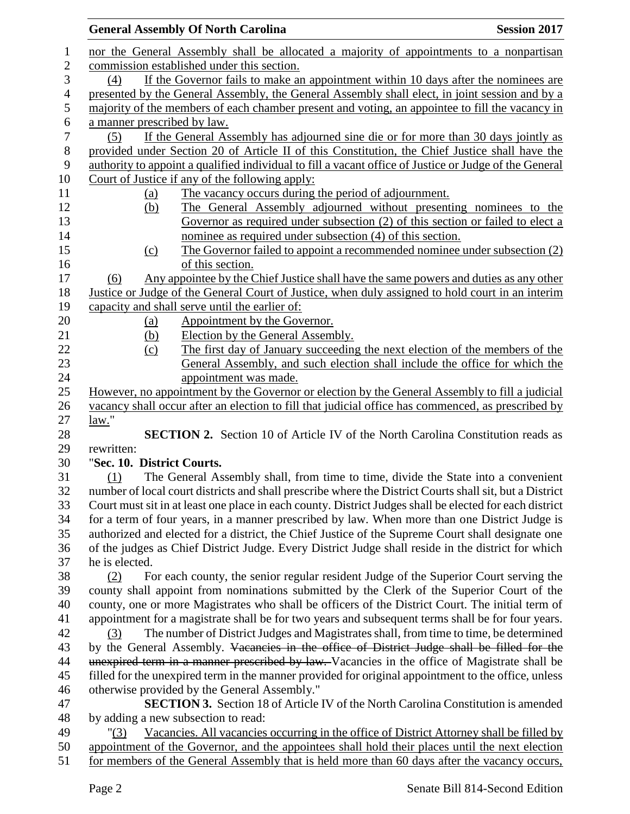|                | <b>General Assembly Of North Carolina</b><br><b>Session 2017</b>                                        |  |  |  |
|----------------|---------------------------------------------------------------------------------------------------------|--|--|--|
| 1              | nor the General Assembly shall be allocated a majority of appointments to a nonpartisan                 |  |  |  |
| $\mathbf{2}$   | commission established under this section.                                                              |  |  |  |
| 3              | If the Governor fails to make an appointment within 10 days after the nominees are<br>(4)               |  |  |  |
| $\overline{4}$ | presented by the General Assembly, the General Assembly shall elect, in joint session and by a          |  |  |  |
| 5              | majority of the members of each chamber present and voting, an appointee to fill the vacancy in         |  |  |  |
| 6              | a manner prescribed by law.                                                                             |  |  |  |
| $\tau$         | If the General Assembly has adjourned sine die or for more than 30 days jointly as<br>(5)               |  |  |  |
| 8              | provided under Section 20 of Article II of this Constitution, the Chief Justice shall have the          |  |  |  |
| 9              | authority to appoint a qualified individual to fill a vacant office of Justice or Judge of the General  |  |  |  |
| 10             | Court of Justice if any of the following apply:                                                         |  |  |  |
| 11             | The vacancy occurs during the period of adjournment.<br><u>(a)</u>                                      |  |  |  |
| 12             | The General Assembly adjourned without presenting nominees to the<br>(b)                                |  |  |  |
| 13             | Governor as required under subsection (2) of this section or failed to elect a                          |  |  |  |
| 14             | nominee as required under subsection (4) of this section.                                               |  |  |  |
| 15             | The Governor failed to appoint a recommended nominee under subsection (2)<br>(c)                        |  |  |  |
| 16             | of this section.                                                                                        |  |  |  |
| 17             | Any appointee by the Chief Justice shall have the same powers and duties as any other<br>(6)            |  |  |  |
| 18             | Justice or Judge of the General Court of Justice, when duly assigned to hold court in an interim        |  |  |  |
| 19             | capacity and shall serve until the earlier of:                                                          |  |  |  |
| 20             | Appointment by the Governor.<br><u>(a)</u>                                                              |  |  |  |
| 21             | Election by the General Assembly.<br><u>(b)</u>                                                         |  |  |  |
| 22             | The first day of January succeeding the next election of the members of the<br>(c)                      |  |  |  |
| 23             | General Assembly, and such election shall include the office for which the                              |  |  |  |
| 24             | appointment was made.                                                                                   |  |  |  |
| 25             | However, no appointment by the Governor or election by the General Assembly to fill a judicial          |  |  |  |
| 26             | yacancy shall occur after an election to fill that judicial office has commenced, as prescribed by      |  |  |  |
| 27             | law."                                                                                                   |  |  |  |
| 28             | <b>SECTION 2.</b> Section 10 of Article IV of the North Carolina Constitution reads as                  |  |  |  |
| 29             | rewritten:                                                                                              |  |  |  |
| 30             | "Sec. 10. District Courts.                                                                              |  |  |  |
| 31             | The General Assembly shall, from time to time, divide the State into a convenient<br>(1)                |  |  |  |
| 32             | number of local court districts and shall prescribe where the District Courts shall sit, but a District |  |  |  |
| 33             | Court must sit in at least one place in each county. District Judges shall be elected for each district |  |  |  |
| 34             | for a term of four years, in a manner prescribed by law. When more than one District Judge is           |  |  |  |
| 35             | authorized and elected for a district, the Chief Justice of the Supreme Court shall designate one       |  |  |  |
| 36             | of the judges as Chief District Judge. Every District Judge shall reside in the district for which      |  |  |  |
| 37             | he is elected.                                                                                          |  |  |  |
| 38             | For each county, the senior regular resident Judge of the Superior Court serving the<br>(2)             |  |  |  |
| 39             | county shall appoint from nominations submitted by the Clerk of the Superior Court of the               |  |  |  |
| 40             | county, one or more Magistrates who shall be officers of the District Court. The initial term of        |  |  |  |
| 41             | appointment for a magistrate shall be for two years and subsequent terms shall be for four years.       |  |  |  |
| 42             | The number of District Judges and Magistrates shall, from time to time, be determined<br>(3)            |  |  |  |
| 43             | by the General Assembly. Vacancies in the office of District Judge shall be filled for the              |  |  |  |
| 44             | unexpired term in a manner prescribed by law. Vacancies in the office of Magistrate shall be            |  |  |  |
| 45             | filled for the unexpired term in the manner provided for original appointment to the office, unless     |  |  |  |
| 46             | otherwise provided by the General Assembly."                                                            |  |  |  |
| 47             | <b>SECTION 3.</b> Section 18 of Article IV of the North Carolina Constitution is amended                |  |  |  |
| 48             | by adding a new subsection to read:                                                                     |  |  |  |
| 49             | Vacancies. All vacancies occurring in the office of District Attorney shall be filled by<br>" $(3)$     |  |  |  |
| 50             | appointment of the Governor, and the appointees shall hold their places until the next election         |  |  |  |
| 51             | for members of the General Assembly that is held more than 60 days after the vacancy occurs,            |  |  |  |
|                |                                                                                                         |  |  |  |